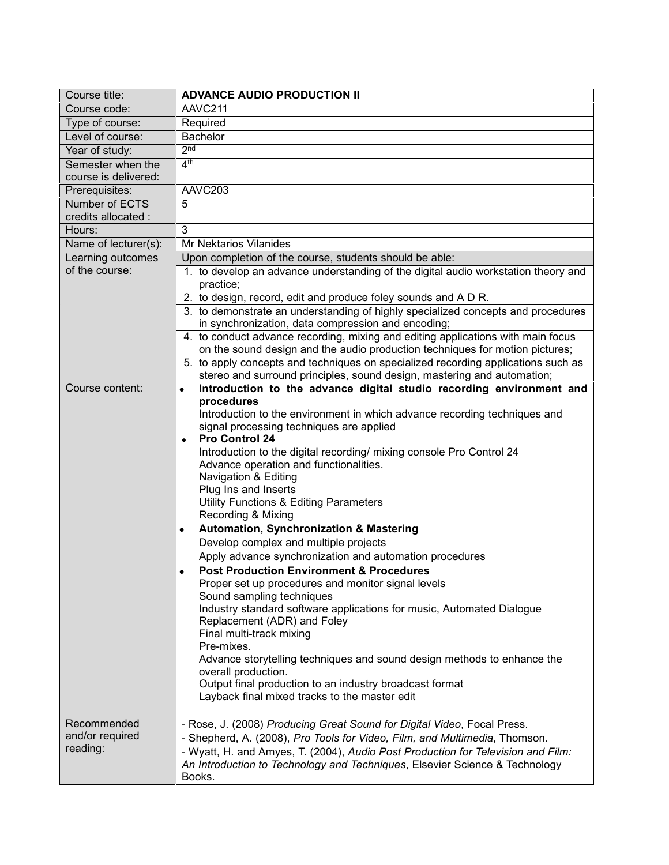| Course title:        | <b>ADVANCE AUDIO PRODUCTION II</b>                                                                                                     |
|----------------------|----------------------------------------------------------------------------------------------------------------------------------------|
| Course code:         | AAVC211                                                                                                                                |
| Type of course:      | Required                                                                                                                               |
| Level of course:     | <b>Bachelor</b>                                                                                                                        |
| Year of study:       | 2 <sub>nd</sub>                                                                                                                        |
| Semester when the    | 4 <sup>th</sup>                                                                                                                        |
| course is delivered: |                                                                                                                                        |
| Prerequisites:       | AAVC203                                                                                                                                |
| Number of ECTS       | 5                                                                                                                                      |
| credits allocated :  |                                                                                                                                        |
| Hours:               | 3                                                                                                                                      |
| Name of lecturer(s): | <b>Mr Nektarios Vilanides</b>                                                                                                          |
| Learning outcomes    | Upon completion of the course, students should be able:                                                                                |
| of the course:       | 1. to develop an advance understanding of the digital audio workstation theory and                                                     |
|                      | practice;                                                                                                                              |
|                      | 2. to design, record, edit and produce foley sounds and A D R.                                                                         |
|                      | 3. to demonstrate an understanding of highly specialized concepts and procedures<br>in synchronization, data compression and encoding; |
|                      | 4. to conduct advance recording, mixing and editing applications with main focus                                                       |
|                      | on the sound design and the audio production techniques for motion pictures;                                                           |
|                      | 5. to apply concepts and techniques on specialized recording applications such as                                                      |
|                      | stereo and surround principles, sound design, mastering and automation;                                                                |
| Course content:      | Introduction to the advance digital studio recording environment and<br>$\bullet$                                                      |
|                      | procedures                                                                                                                             |
|                      | Introduction to the environment in which advance recording techniques and                                                              |
|                      | signal processing techniques are applied                                                                                               |
|                      | <b>Pro Control 24</b><br>$\bullet$                                                                                                     |
|                      | Introduction to the digital recording/ mixing console Pro Control 24<br>Advance operation and functionalities.                         |
|                      | Navigation & Editing                                                                                                                   |
|                      | Plug Ins and Inserts                                                                                                                   |
|                      | Utility Functions & Editing Parameters                                                                                                 |
|                      | Recording & Mixing                                                                                                                     |
|                      | Automation, Synchronization & Mastering<br>$\bullet$                                                                                   |
|                      | Develop complex and multiple projects                                                                                                  |
|                      | Apply advance synchronization and automation procedures                                                                                |
|                      | <b>Post Production Environment &amp; Procedures</b>                                                                                    |
|                      | Proper set up procedures and monitor signal levels                                                                                     |
|                      | Sound sampling techniques                                                                                                              |
|                      | Industry standard software applications for music, Automated Dialogue                                                                  |
|                      | Replacement (ADR) and Foley                                                                                                            |
|                      | Final multi-track mixing                                                                                                               |
|                      | Pre-mixes.<br>Advance storytelling techniques and sound design methods to enhance the                                                  |
|                      | overall production.                                                                                                                    |
|                      | Output final production to an industry broadcast format                                                                                |
|                      | Layback final mixed tracks to the master edit                                                                                          |
|                      |                                                                                                                                        |
| Recommended          | - Rose, J. (2008) Producing Great Sound for Digital Video, Focal Press.                                                                |
| and/or required      | - Shepherd, A. (2008), Pro Tools for Video, Film, and Multimedia, Thomson.                                                             |
| reading:             | - Wyatt, H. and Amyes, T. (2004), Audio Post Production for Television and Film:                                                       |
|                      | An Introduction to Technology and Techniques, Elsevier Science & Technology                                                            |
|                      | Books.                                                                                                                                 |